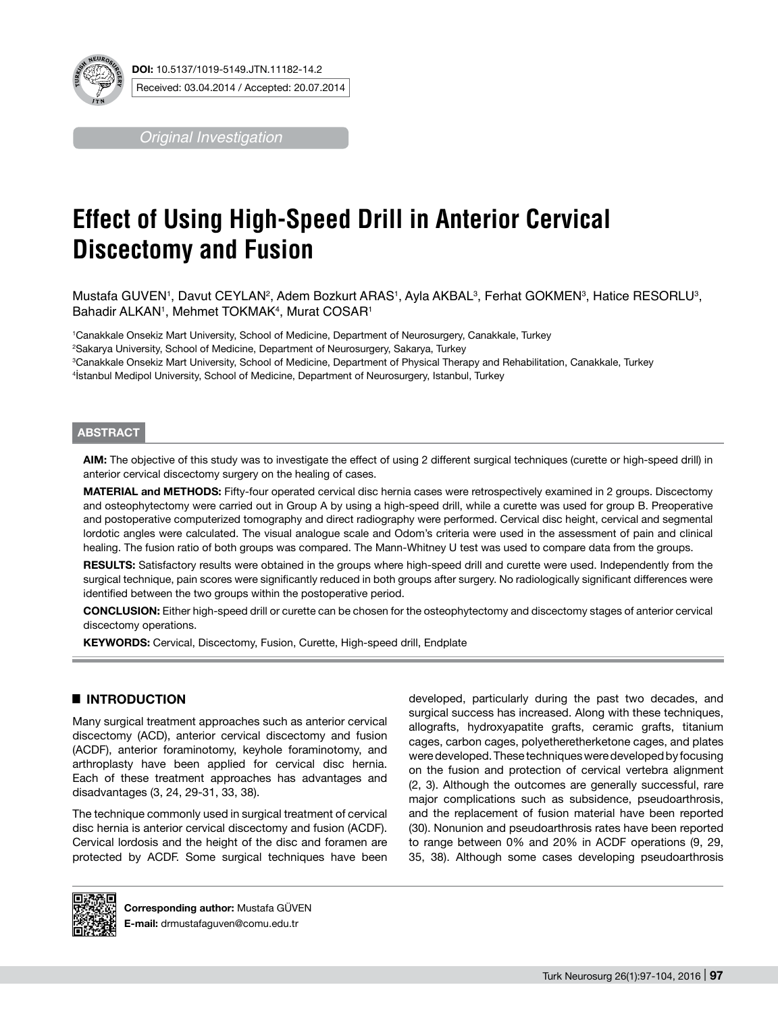

*Original Investigation*

# **Effect of Using High-Speed Drill in Anterior Cervical Discectomy and Fusion**

Mustafa GUVEN', Davut CEYLAN², Adem Bozkurt ARAS', Ayla AKBAL<sup>3</sup>, Ferhat GOKMENª, Hatice RESORLUª, Bahadir ALKAN1, Mehmet TOKMAK4, Murat COSAR1

 Canakkale Onsekiz Mart University, School of Medicine, Department of Neurosurgery, Canakkale, Turkey Sakarya University, School of Medicine, Department of Neurosurgery, Sakarya, Turkey Canakkale Onsekiz Mart University, School of Medicine, Department of Physical Therapy and Rehabilitation, Canakkale, Turkey İstanbul Medipol University, School of Medicine, Department of Neurosurgery, Istanbul, Turkey

## **ABSTRACT**

**AIm:** The objective of this study was to investigate the effect of using 2 different surgical techniques (curette or high-speed drill) in anterior cervical discectomy surgery on the healing of cases.

**MaterIal and Methods:** Fifty-four operated cervical disc hernia cases were retrospectively examined in 2 groups. Discectomy and osteophytectomy were carried out in Group A by using a high-speed drill, while a curette was used for group B. Preoperative and postoperative computerized tomography and direct radiography were performed. Cervical disc height, cervical and segmental lordotic angles were calculated. The visual analogue scale and Odom's criteria were used in the assessment of pain and clinical healing. The fusion ratio of both groups was compared. The Mann-Whitney U test was used to compare data from the groups.

RESULTS: Satisfactory results were obtained in the groups where high-speed drill and curette were used. Independently from the surgical technique, pain scores were significantly reduced in both groups after surgery. No radiologically significant differences were identified between the two groups within the postoperative period.

**ConclusIon:** Either high-speed drill or curette can be chosen for the osteophytectomy and discectomy stages of anterior cervical discectomy operations.

**Keywords:** Cervical, Discectomy, Fusion, Curette, High-speed drill, Endplate

## █ **INTRODUCTION**

Many surgical treatment approaches such as anterior cervical discectomy (ACD), anterior cervical discectomy and fusion (ACDF), anterior foraminotomy, keyhole foraminotomy, and arthroplasty have been applied for cervical disc hernia. Each of these treatment approaches has advantages and disadvantages (3, 24, 29-31, 33, 38).

The technique commonly used in surgical treatment of cervical disc hernia is anterior cervical discectomy and fusion (ACDF). Cervical lordosis and the height of the disc and foramen are protected by ACDF. Some surgical techniques have been

developed, particularly during the past two decades, and surgical success has increased. Along with these techniques, allografts, hydroxyapatite grafts, ceramic grafts, titanium cages, carbon cages, polyetheretherketone cages, and plates were developed. These techniques were developed by focusing on the fusion and protection of cervical vertebra alignment (2, 3). Although the outcomes are generally successful, rare major complications such as subsidence, pseudoarthrosis, and the replacement of fusion material have been reported (30). Nonunion and pseudoarthrosis rates have been reported to range between 0% and 20% in ACDF operations (9, 29, 35, 38). Although some cases developing pseudoarthrosis



**Corresponding author:** Mustafa Güven **E-mail:** drmustafaguven@comu.edu.tr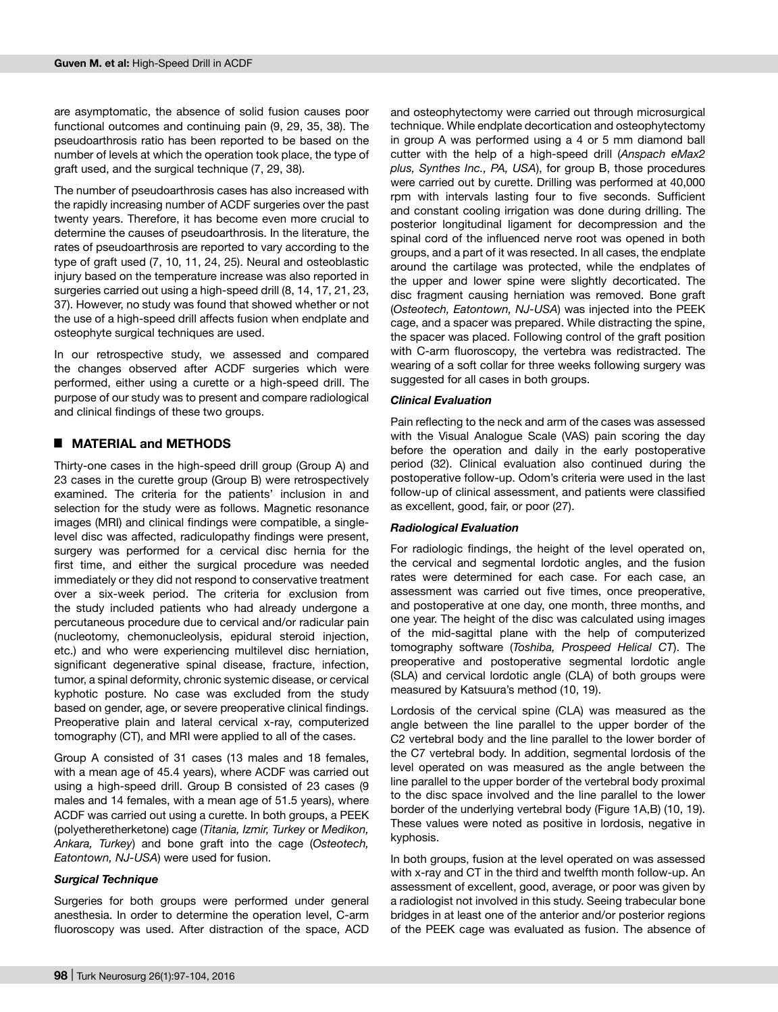are asymptomatic, the absence of solid fusion causes poor functional outcomes and continuing pain (9, 29, 35, 38). The pseudoarthrosis ratio has been reported to be based on the number of levels at which the operation took place, the type of graft used, and the surgical technique (7, 29, 38).

The number of pseudoarthrosis cases has also increased with the rapidly increasing number of ACDF surgeries over the past twenty years. Therefore, it has become even more crucial to determine the causes of pseudoarthrosis. In the literature, the rates of pseudoarthrosis are reported to vary according to the type of graft used (7, 10, 11, 24, 25). Neural and osteoblastic injury based on the temperature increase was also reported in surgeries carried out using a high-speed drill (8, 14, 17, 21, 23, 37). However, no study was found that showed whether or not the use of a high-speed drill affects fusion when endplate and osteophyte surgical techniques are used.

In our retrospective study, we assessed and compared the changes observed after ACDF surgeries which were performed, either using a curette or a high-speed drill. The purpose of our study was to present and compare radiological and clinical findings of these two groups.

## █ **MATERIAL and METHODS**

Thirty-one cases in the high-speed drill group (Group A) and 23 cases in the curette group (Group B) were retrospectively examined. The criteria for the patients' inclusion in and selection for the study were as follows. Magnetic resonance images (MRI) and clinical findings were compatible, a singlelevel disc was affected, radiculopathy findings were present, surgery was performed for a cervical disc hernia for the first time, and either the surgical procedure was needed immediately or they did not respond to conservative treatment over a six-week period. The criteria for exclusion from the study included patients who had already undergone a percutaneous procedure due to cervical and/or radicular pain (nucleotomy, chemonucleolysis, epidural steroid injection, etc.) and who were experiencing multilevel disc herniation, significant degenerative spinal disease, fracture, infection, tumor, a spinal deformity, chronic systemic disease, or cervical kyphotic posture. No case was excluded from the study based on gender, age, or severe preoperative clinical findings. Preoperative plain and lateral cervical x-ray, computerized tomography (CT), and MRI were applied to all of the cases.

Group A consisted of 31 cases (13 males and 18 females, with a mean age of 45.4 years), where ACDF was carried out using a high-speed drill. Group B consisted of 23 cases (9 males and 14 females, with a mean age of 51.5 years), where ACDF was carried out using a curette. In both groups, a PEEK (polyetheretherketone) cage (*Titania, Izmir, Turkey* or *Medikon, Ankara, Turkey*) and bone graft into the cage (*Osteotech, Eatontown, NJ-USA*) were used for fusion.

#### *Surgical Technique*

Surgeries for both groups were performed under general anesthesia. In order to determine the operation level, C-arm fluoroscopy was used. After distraction of the space, ACD

and osteophytectomy were carried out through microsurgical technique. While endplate decortication and osteophytectomy in group A was performed using a 4 or 5 mm diamond ball cutter with the help of a high-speed drill (*Anspach eMax2 plus, Synthes Inc., PA, USA*), for group B, those procedures were carried out by curette. Drilling was performed at 40,000 rpm with intervals lasting four to five seconds. Sufficient and constant cooling irrigation was done during drilling. The posterior longitudinal ligament for decompression and the spinal cord of the influenced nerve root was opened in both groups, and a part of it was resected. In all cases, the endplate around the cartilage was protected, while the endplates of the upper and lower spine were slightly decorticated. The disc fragment causing herniation was removed. Bone graft (*Osteotech, Eatontown, NJ-USA*) was injected into the PEEK cage, and a spacer was prepared. While distracting the spine, the spacer was placed. Following control of the graft position with C-arm fluoroscopy, the vertebra was redistracted. The wearing of a soft collar for three weeks following surgery was suggested for all cases in both groups.

## *Clinical Evaluation*

Pain reflecting to the neck and arm of the cases was assessed with the Visual Analogue Scale (VAS) pain scoring the day before the operation and daily in the early postoperative period (32). Clinical evaluation also continued during the postoperative follow-up. Odom's criteria were used in the last follow-up of clinical assessment, and patients were classified as excellent, good, fair, or poor (27).

#### *Radiological Evaluation*

For radiologic findings, the height of the level operated on, the cervical and segmental lordotic angles, and the fusion rates were determined for each case. For each case, an assessment was carried out five times, once preoperative, and postoperative at one day, one month, three months, and one year. The height of the disc was calculated using images of the mid-sagittal plane with the help of computerized tomography software (*Toshiba, Prospeed Helical CT*). The preoperative and postoperative segmental lordotic angle (SLA) and cervical lordotic angle (CLA) of both groups were measured by Katsuura's method (10, 19).

Lordosis of the cervical spine (CLA) was measured as the angle between the line parallel to the upper border of the C2 vertebral body and the line parallel to the lower border of the C7 vertebral body. In addition, segmental lordosis of the level operated on was measured as the angle between the line parallel to the upper border of the vertebral body proximal to the disc space involved and the line parallel to the lower border of the underlying vertebral body (Figure 1A,B) (10, 19). These values were noted as positive in lordosis, negative in kyphosis.

In both groups, fusion at the level operated on was assessed with x-ray and CT in the third and twelfth month follow-up. An assessment of excellent, good, average, or poor was given by a radiologist not involved in this study. Seeing trabecular bone bridges in at least one of the anterior and/or posterior regions of the PEEK cage was evaluated as fusion. The absence of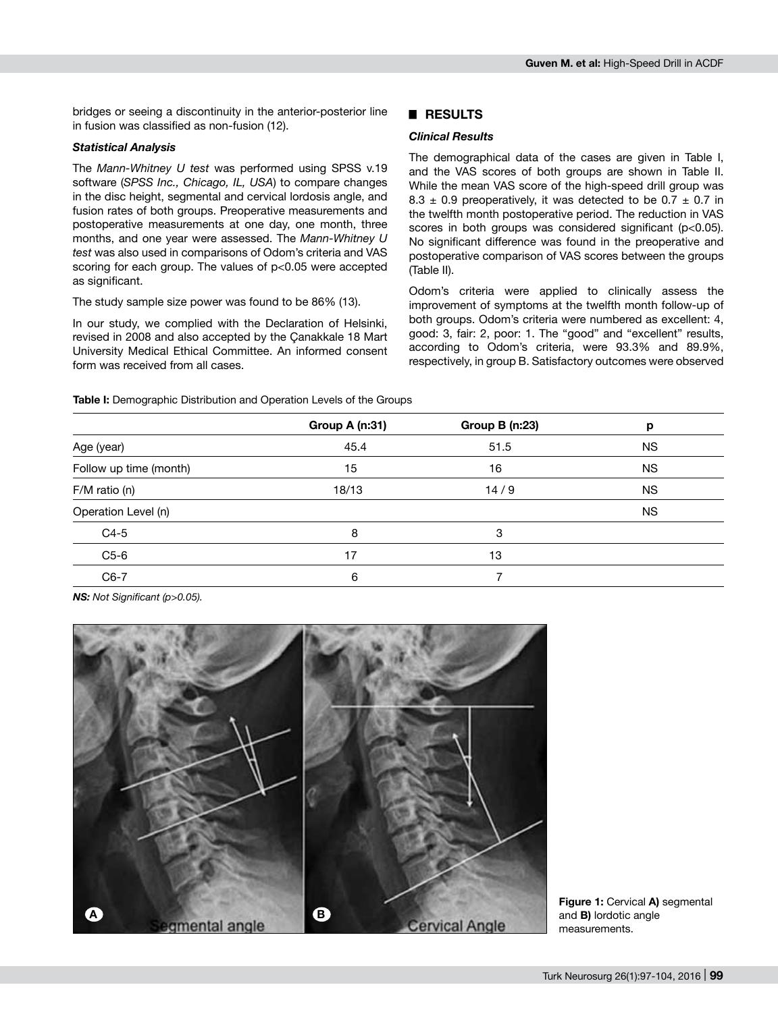bridges or seeing a discontinuity in the anterior-posterior line in fusion was classified as non-fusion (12).

#### *Statistical Analysis*

The *Mann-Whitney U test* was performed using SPSS v.19 software (*SPSS Inc., Chicago, IL, USA*) to compare changes in the disc height, segmental and cervical lordosis angle, and fusion rates of both groups. Preoperative measurements and postoperative measurements at one day, one month, three months, and one year were assessed. The *Mann-Whitney U test* was also used in comparisons of Odom's criteria and VAS scoring for each group. The values of p<0.05 were accepted as significant.

The study sample size power was found to be 86% (13).

In our study, we complied with the Declaration of Helsinki, revised in 2008 and also accepted by the Çanakkale 18 Mart University Medical Ethical Committee. An informed consent form was received from all cases.

**Table I:** Demographic Distribution and Operation Levels of the Groups

## █ **RESULTS**

# *Clinical Results*

The demographical data of the cases are given in Table I, and the VAS scores of both groups are shown in Table II. While the mean VAS score of the high-speed drill group was 8.3  $\pm$  0.9 preoperatively, it was detected to be 0.7  $\pm$  0.7 in the twelfth month postoperative period. The reduction in VAS scores in both groups was considered significant (p<0.05). No significant difference was found in the preoperative and postoperative comparison of VAS scores between the groups (Table II).

Odom's criteria were applied to clinically assess the improvement of symptoms at the twelfth month follow-up of both groups. Odom's criteria were numbered as excellent: 4, good: 3, fair: 2, poor: 1. The "good" and "excellent" results, according to Odom's criteria, were 93.3% and 89.9%, respectively, in group B. Satisfactory outcomes were observed

|                        | Group A (n:31) | <b>Group B (n:23)</b> | р         |
|------------------------|----------------|-----------------------|-----------|
| Age (year)             | 45.4           | 51.5                  | <b>NS</b> |
| Follow up time (month) | 15             | 16                    | <b>NS</b> |
| $F/M$ ratio (n)        | 18/13          | 14/9                  | <b>NS</b> |
| Operation Level (n)    |                |                       | <b>NS</b> |
| $C4-5$                 | 8              | 3                     |           |
| $C5-6$                 | 17             | 13                    |           |
| $C6-7$                 | 6              | 7                     |           |

*NS: Not Significant (p>0.05).*



**Figure 1:** Cervical **a)** segmental and **B)** lordotic angle measurements.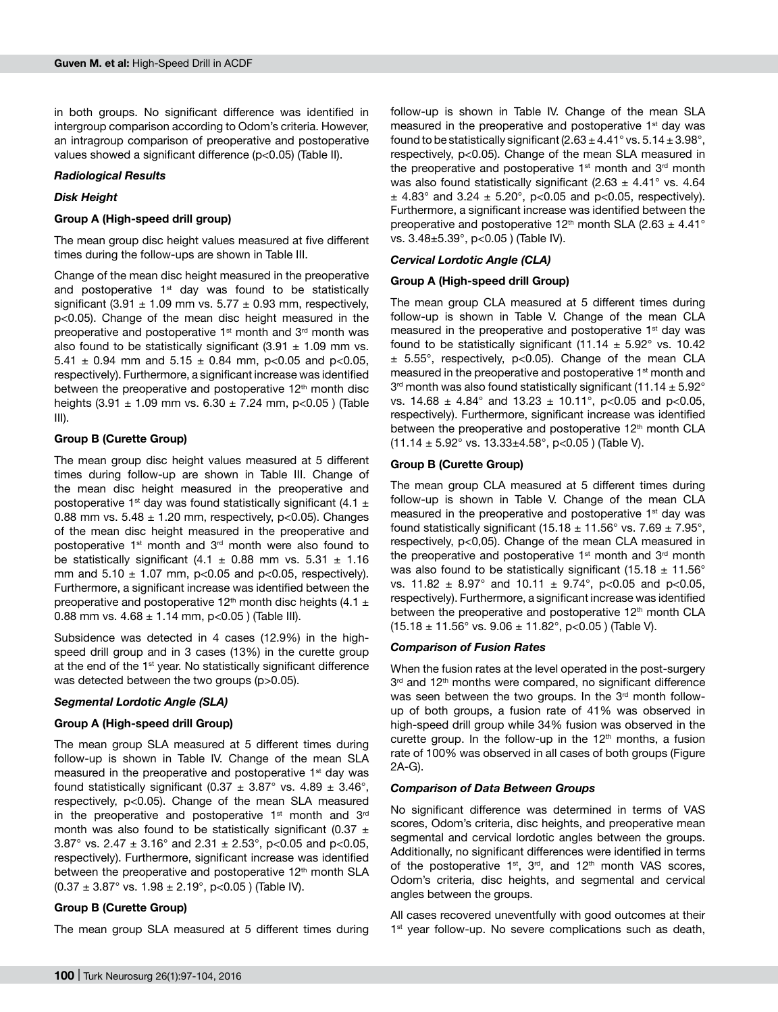in both groups. No significant difference was identified in intergroup comparison according to Odom's criteria. However, an intragroup comparison of preoperative and postoperative values showed a significant difference (p<0.05) (Table II).

### *Radiological Results*

## *Disk Height*

### **Group A (High-speed drill group)**

The mean group disc height values measured at five different times during the follow-ups are shown in Table III.

Change of the mean disc height measured in the preoperative and postoperative  $1<sup>st</sup>$  day was found to be statistically significant (3.91  $\pm$  1.09 mm vs. 5.77  $\pm$  0.93 mm, respectively, p<0.05). Change of the mean disc height measured in the preoperative and postoperative  $1<sup>st</sup>$  month and  $3<sup>rd</sup>$  month was also found to be statistically significant  $(3.91 \pm 1.09$  mm vs. 5.41  $\pm$  0.94 mm and 5.15  $\pm$  0.84 mm, p<0.05 and p<0.05, respectively). Furthermore, a significant increase was identified between the preoperative and postoperative  $12<sup>th</sup>$  month disc heights  $(3.91 \pm 1.09 \text{ mm}$  vs.  $6.30 \pm 7.24 \text{ mm}$ , p<0.05 ) (Table III).

## **Group B (Curette Group)**

The mean group disc height values measured at 5 different times during follow-up are shown in Table III. Change of the mean disc height measured in the preoperative and postoperative 1<sup>st</sup> day was found statistically significant (4.1  $\pm$ 0.88 mm vs.  $5.48 \pm 1.20$  mm, respectively, p<0.05). Changes of the mean disc height measured in the preoperative and postoperative 1<sup>st</sup> month and 3<sup>rd</sup> month were also found to be statistically significant  $(4.1 \pm 0.88$  mm vs. 5.31  $\pm$  1.16 mm and  $5.10 \pm 1.07$  mm, p<0.05 and p<0.05, respectively). Furthermore, a significant increase was identified between the preoperative and postoperative 12<sup>th</sup> month disc heights (4.1  $\pm$ 0.88 mm vs.  $4.68 \pm 1.14$  mm, p<0.05 ) (Table III).

Subsidence was detected in 4 cases (12.9%) in the highspeed drill group and in 3 cases (13%) in the curette group at the end of the 1<sup>st</sup> year. No statistically significant difference was detected between the two groups (p>0.05).

## *Segmental Lordotic Angle (SLA)*

## **Group A (High-speed drill Group)**

The mean group SLA measured at 5 different times during follow-up is shown in Table IV. Change of the mean SLA measured in the preoperative and postoperative 1<sup>st</sup> day was found statistically significant (0.37  $\pm$  3.87° vs. 4.89  $\pm$  3.46°, respectively, p<0.05). Change of the mean SLA measured in the preoperative and postoperative  $1<sup>st</sup>$  month and  $3<sup>rd</sup>$ month was also found to be statistically significant (0.37  $\pm$ 3.87° vs. 2.47  $\pm$  3.16° and 2.31  $\pm$  2.53°, p<0.05 and p<0.05, respectively). Furthermore, significant increase was identified between the preoperative and postoperative 12<sup>th</sup> month SLA  $(0.37 \pm 3.87^{\circ} \text{ vs. } 1.98 \pm 2.19^{\circ}, \text{ p<0.05 } )$  (Table IV).

## **Group B (Curette Group)**

The mean group SLA measured at 5 different times during

follow-up is shown in Table IV. Change of the mean SLA measured in the preoperative and postoperative 1<sup>st</sup> day was found to be statistically significant (2.63  $\pm$  4.41° vs. 5.14  $\pm$  3.98°, respectively, p<0.05). Change of the mean SLA measured in the preoperative and postoperative  $1<sup>st</sup>$  month and  $3<sup>rd</sup>$  month was also found statistically significant (2.63  $\pm$  4.41° vs. 4.64  $\pm$  4.83° and 3.24  $\pm$  5.20°, p<0.05 and p<0.05, respectively). Furthermore, a significant increase was identified between the preoperative and postoperative 12<sup>th</sup> month SLA (2.63  $\pm$  4.41<sup>°</sup> vs. 3.48±5.39°, p<0.05 ) (Table IV).

## *Cervical Lordotic Angle (CLA)*

#### **Group A (High-speed drill Group)**

The mean group CLA measured at 5 different times during follow-up is shown in Table V. Change of the mean CLA measured in the preoperative and postoperative 1<sup>st</sup> day was found to be statistically significant (11.14  $\pm$  5.92° vs. 10.42  $±$  5.55°, respectively, p<0.05). Change of the mean CLA measured in the preoperative and postoperative 1<sup>st</sup> month and  $3<sup>rd</sup>$  month was also found statistically significant (11.14  $\pm$  5.92 $^{\circ}$ vs. 14.68  $\pm$  4.84° and 13.23  $\pm$  10.11°, p<0.05 and p<0.05, respectively). Furthermore, significant increase was identified between the preoperative and postoperative 12<sup>th</sup> month CLA (11.14  $\pm$  5.92° vs. 13.33 $\pm$ 4.58°, p<0.05) (Table V).

## **Group B (Curette Group)**

The mean group CLA measured at 5 different times during follow-up is shown in Table V. Change of the mean CLA measured in the preoperative and postoperative  $1<sup>st</sup>$  day was found statistically significant (15.18  $\pm$  11.56° vs. 7.69  $\pm$  7.95°, respectively, p<0,05). Change of the mean CLA measured in the preoperative and postoperative  $1<sup>st</sup>$  month and  $3<sup>rd</sup>$  month was also found to be statistically significant (15.18  $\pm$  11.56 $^{\circ}$ ) vs. 11.82  $\pm$  8.97° and 10.11  $\pm$  9.74°, p<0.05 and p<0.05, respectively). Furthermore, a significant increase was identified between the preoperative and postoperative 12<sup>th</sup> month CLA (15.18  $\pm$  11.56° vs. 9.06  $\pm$  11.82°, p<0.05 ) (Table V).

#### *Comparison of Fusion Rates*

When the fusion rates at the level operated in the post-surgery 3rd and 12<sup>th</sup> months were compared, no significant difference was seen between the two groups. In the 3<sup>rd</sup> month followup of both groups, a fusion rate of 41% was observed in high-speed drill group while 34% fusion was observed in the curette group. In the follow-up in the  $12<sup>th</sup>$  months, a fusion rate of 100% was observed in all cases of both groups (Figure 2a-G).

#### *Comparison of Data Between Groups*

No significant difference was determined in terms of VAS scores, Odom's criteria, disc heights, and preoperative mean segmental and cervical lordotic angles between the groups. Additionally, no significant differences were identified in terms of the postoperative  $1^{st}$ ,  $3^{rd}$ , and  $12^{th}$  month VAS scores, Odom's criteria, disc heights, and segmental and cervical angles between the groups.

All cases recovered uneventfully with good outcomes at their 1<sup>st</sup> year follow-up. No severe complications such as death,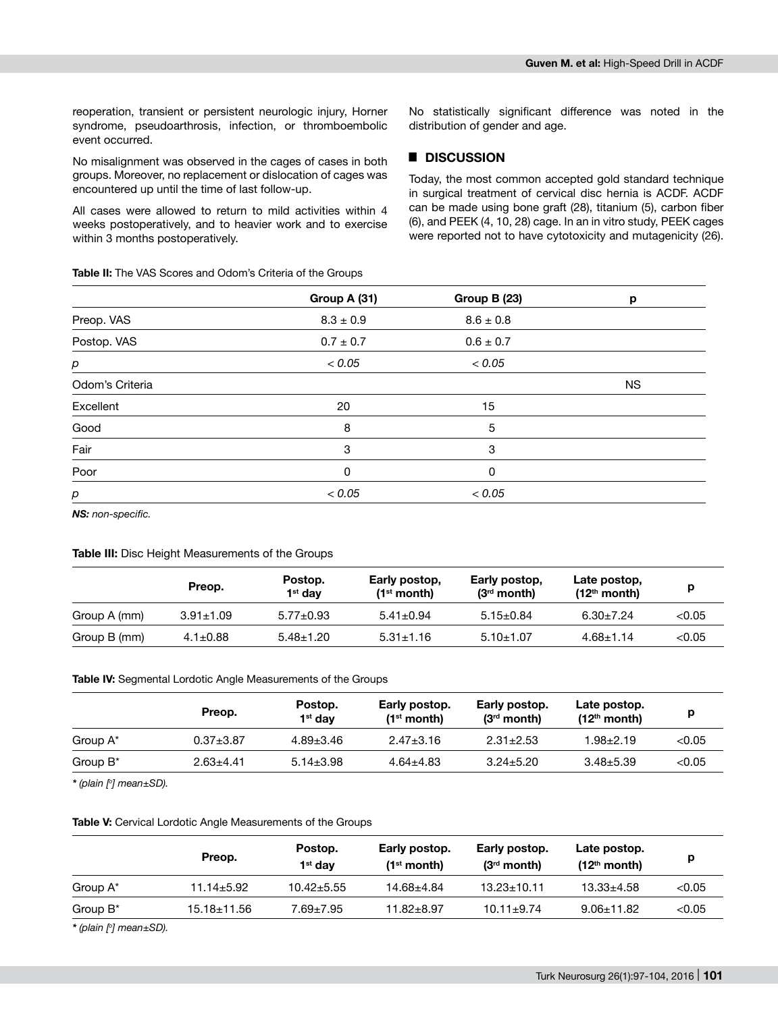reoperation, transient or persistent neurologic injury, Horner syndrome, pseudoarthrosis, infection, or thromboembolic event occurred.

No misalignment was observed in the cages of cases in both groups. Moreover, no replacement or dislocation of cages was encountered up until the time of last follow-up.

All cases were allowed to return to mild activities within 4 weeks postoperatively, and to heavier work and to exercise within 3 months postoperatively.

**Table II:** The VAS Scores and Odom's Criteria of the Groups

No statistically significant difference was noted in the distribution of gender and age.

## █ **DISCUSSION**

Today, the most common accepted gold standard technique in surgical treatment of cervical disc hernia is ACDF. ACDF can be made using bone graft (28), titanium (5), carbon fiber (6), and PEEK (4, 10, 28) cage. In an in vitro study, PEEK cages were reported not to have cytotoxicity and mutagenicity (26).

|                 | Group A (31)  | Group B (23)  | p         |
|-----------------|---------------|---------------|-----------|
| Preop. VAS      | $8.3 \pm 0.9$ | $8.6 \pm 0.8$ |           |
| Postop. VAS     | $0.7 \pm 0.7$ | $0.6 \pm 0.7$ |           |
| р               | < 0.05        | < 0.05        |           |
| Odom's Criteria |               |               | <b>NS</b> |
| Excellent       | 20            | 15            |           |
| Good            | 8             | 5             |           |
| Fair            | 3             | 3             |           |
| Poor            | 0             | 0             |           |
| р               | < 0.05        | < 0.05        |           |

*NS: non-specific.*

#### **Table III:** Disc Height Measurements of the Groups

|              | Preop.          | Postop.<br>1 <sup>st</sup> dav | Early postop,<br>$(1st$ month) | Early postop,<br>$(3rd$ month) | Late postop,<br>$(12th$ month) |        |
|--------------|-----------------|--------------------------------|--------------------------------|--------------------------------|--------------------------------|--------|
| Group A (mm) | $3.91 \pm 1.09$ | $5.77 \pm 0.93$                | $5.41 \pm 0.94$                | $5.15 \pm 0.84$                | $6.30 \pm 7.24$                | < 0.05 |
| Group B (mm) | $4.1 \pm 0.88$  | $5.48 \pm 1.20$                | $5.31 \pm 1.16$                | $5.10 \pm 1.07$                | $4.68 \pm 1.14$                | < 0.05 |

#### **Table IV:** Segmental Lordotic Angle Measurements of the Groups

|                      | Preop.        | Postop.<br>$1st$ dav | Early postop.<br>$(1st$ month) | Early postop.<br>$(3rd$ month) | Late postop.<br>$(12th$ month) |        |
|----------------------|---------------|----------------------|--------------------------------|--------------------------------|--------------------------------|--------|
| Group A <sup>*</sup> | $0.37 + 3.87$ | $4.89 \pm 3.46$      | $2.47 \pm 3.16$                | $2.31 \pm 2.53$                | $1.98 + 2.19$                  | < 0.05 |
| Group $B^*$          | $2.63 + 4.41$ | $5.14 + 3.98$        | $4.64 + 4.83$                  | $3.24 + 5.20$                  | $3.48 + 5.39$                  | < 0.05 |

*\* (plain [o] mean±SD).*

#### **Table V:** Cervical Lordotic Angle Measurements of the Groups

|                      | Preop.           | Postop.<br>1 <sup>st</sup> dav | Early postop.<br>(1 <sup>st</sup> month) | Early postop.<br>$(3rd$ month) | Late postop.<br>$(12th$ month) |        |
|----------------------|------------------|--------------------------------|------------------------------------------|--------------------------------|--------------------------------|--------|
| Group A <sup>*</sup> | $11.14 \pm 5.92$ | $10.42 \pm 5.55$               | 14.68±4.84                               | $13.23 \pm 10.11$              | $13.33 \pm 4.58$               | < 0.05 |
| Group $B^*$          | 15.18±11.56      | 7.69±7.95                      | $11.82 + 8.97$                           | $10.11 \pm 9.74$               | $9.06 \pm 11.82$               | < 0.05 |
| .                    | ---              |                                |                                          |                                |                                |        |

*\* (plain [o] mean±SD).*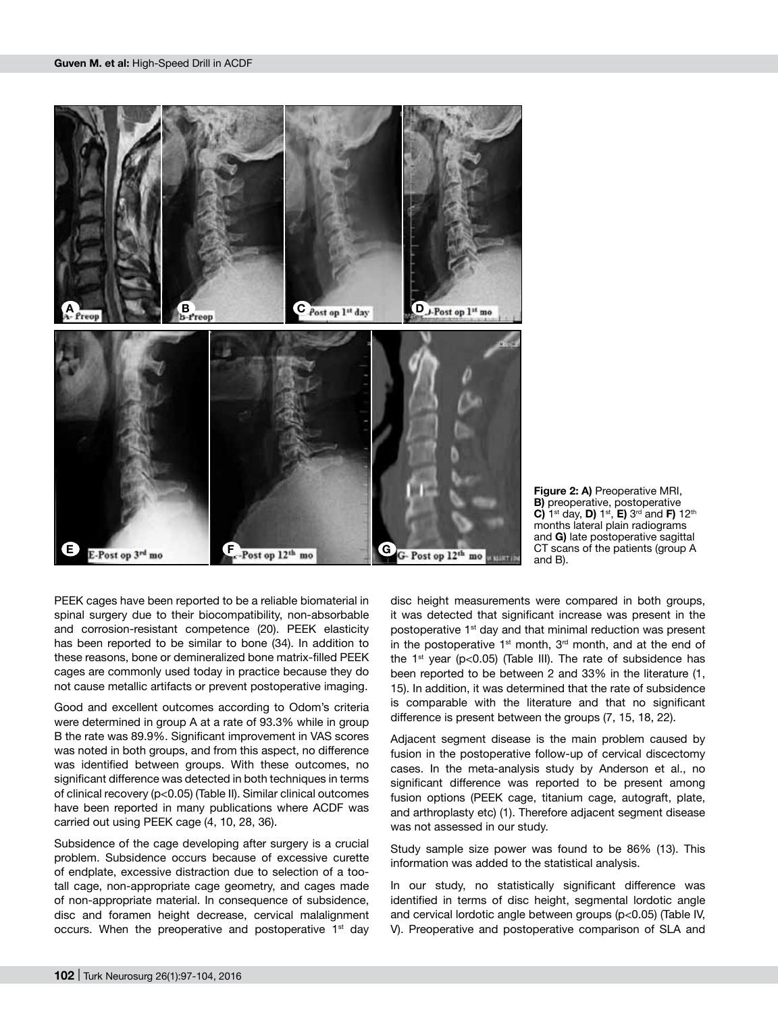

**Figure 2: A)** Preoperative MRI, **B)** preoperative, postoperative **C)** 1st day, **D)** 1st, **E)** 3rd and **F)** 12th months lateral plain radiograms and **G)** late postoperative sagittal CT scans of the patients (group A and B).

PEEK cages have been reported to be a reliable biomaterial in spinal surgery due to their biocompatibility, non-absorbable and corrosion-resistant competence (20). PEEK elasticity has been reported to be similar to bone (34). In addition to these reasons, bone or demineralized bone matrix-filled PEEK cages are commonly used today in practice because they do not cause metallic artifacts or prevent postoperative imaging.

Good and excellent outcomes according to Odom's criteria were determined in group A at a rate of 93.3% while in group B the rate was 89.9%. Significant improvement in VAS scores was noted in both groups, and from this aspect, no difference was identified between groups. With these outcomes, no significant difference was detected in both techniques in terms of clinical recovery (p<0.05) (Table II). Similar clinical outcomes have been reported in many publications where ACDF was carried out using PEEK cage (4, 10, 28, 36).

Subsidence of the cage developing after surgery is a crucial problem. Subsidence occurs because of excessive curette of endplate, excessive distraction due to selection of a tootall cage, non-appropriate cage geometry, and cages made of non-appropriate material. In consequence of subsidence, disc and foramen height decrease, cervical malalignment occurs. When the preoperative and postoperative  $1<sup>st</sup>$  day disc height measurements were compared in both groups, it was detected that significant increase was present in the postoperative 1<sup>st</sup> day and that minimal reduction was present in the postoperative  $1<sup>st</sup>$  month,  $3<sup>rd</sup>$  month, and at the end of the  $1<sup>st</sup>$  year (p<0.05) (Table III). The rate of subsidence has been reported to be between 2 and 33% in the literature (1, 15). In addition, it was determined that the rate of subsidence is comparable with the literature and that no significant difference is present between the groups (7, 15, 18, 22).

Adjacent segment disease is the main problem caused by fusion in the postoperative follow-up of cervical discectomy cases. In the meta-analysis study by Anderson et al., no significant difference was reported to be present among fusion options (PEEK cage, titanium cage, autograft, plate, and arthroplasty etc) (1). Therefore adjacent segment disease was not assessed in our study.

Study sample size power was found to be 86% (13). This information was added to the statistical analysis.

In our study, no statistically significant difference was identified in terms of disc height, segmental lordotic angle and cervical lordotic angle between groups (p<0.05) (Table IV, V). Preoperative and postoperative comparison of SLA and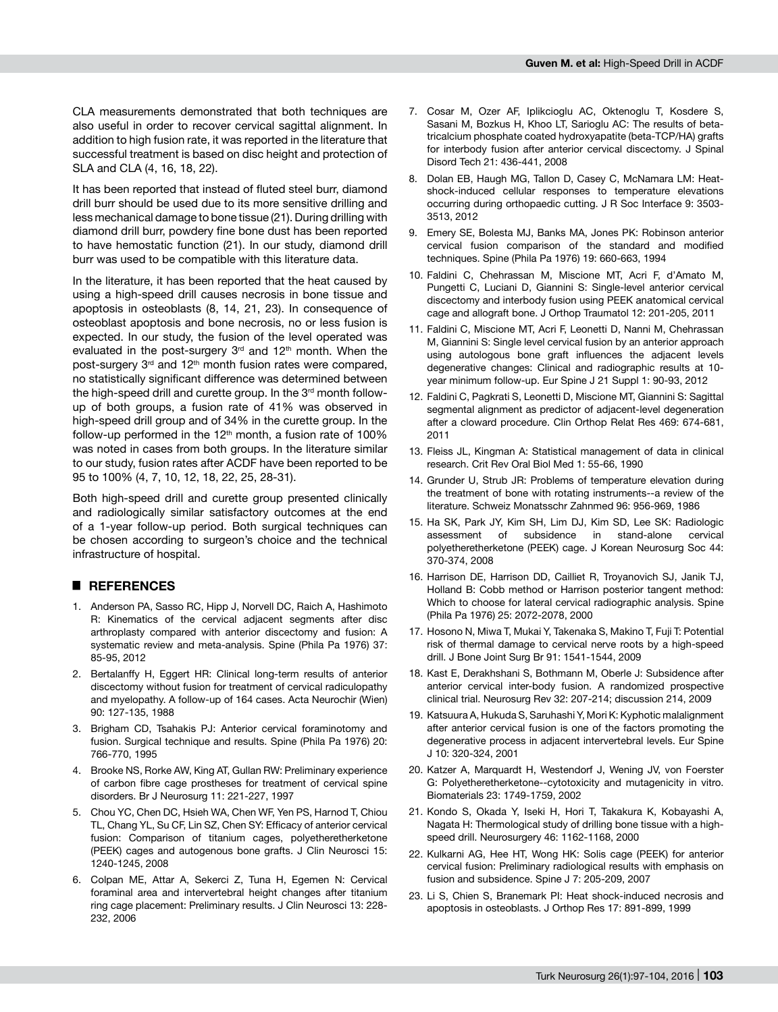CLA measurements demonstrated that both techniques are also useful in order to recover cervical sagittal alignment. In addition to high fusion rate, it was reported in the literature that successful treatment is based on disc height and protection of SLA and CLA (4, 16, 18, 22).

It has been reported that instead of fluted steel burr, diamond drill burr should be used due to its more sensitive drilling and less mechanical damage to bone tissue (21). During drilling with diamond drill burr, powdery fine bone dust has been reported to have hemostatic function (21). In our study, diamond drill burr was used to be compatible with this literature data.

In the literature, it has been reported that the heat caused by using a high-speed drill causes necrosis in bone tissue and apoptosis in osteoblasts (8, 14, 21, 23). In consequence of osteoblast apoptosis and bone necrosis, no or less fusion is expected. In our study, the fusion of the level operated was evaluated in the post-surgery  $3<sup>rd</sup>$  and  $12<sup>th</sup>$  month. When the post-surgery 3<sup>rd</sup> and 12<sup>th</sup> month fusion rates were compared, no statistically significant difference was determined between the high-speed drill and curette group. In the 3<sup>rd</sup> month followup of both groups, a fusion rate of 41% was observed in high-speed drill group and of 34% in the curette group. In the follow-up performed in the  $12<sup>th</sup>$  month, a fusion rate of 100% was noted in cases from both groups. In the literature similar to our study, fusion rates after ACDF have been reported to be 95 to 100% (4, 7, 10, 12, 18, 22, 25, 28-31).

Both high-speed drill and curette group presented clinically and radiologically similar satisfactory outcomes at the end of a 1-year follow-up period. Both surgical techniques can be chosen according to surgeon's choice and the technical infrastructure of hospital.

## █ **REFERENCES**

- 1. Anderson PA, Sasso RC, Hipp J, Norvell DC, Raich A, Hashimoto R: Kinematics of the cervical adjacent segments after disc arthroplasty compared with anterior discectomy and fusion: A systematic review and meta-analysis. Spine (Phila Pa 1976) 37: 85-95, 2012
- 2. Bertalanffy H, Eggert HR: Clinical long-term results of anterior discectomy without fusion for treatment of cervical radiculopathy and myelopathy. A follow-up of 164 cases. Acta Neurochir (Wien) 90: 127-135, 1988
- 3. Brigham CD, Tsahakis PJ: Anterior cervical foraminotomy and fusion. Surgical technique and results. Spine (Phila Pa 1976) 20: 766-770, 1995
- 4. Brooke NS, Rorke AW, King AT, Gullan RW: Preliminary experience of carbon fibre cage prostheses for treatment of cervical spine disorders. Br J Neurosurg 11: 221-227, 1997
- 5. Chou YC, Chen DC, Hsieh WA, Chen WF, Yen PS, Harnod T, Chiou TL, Chang YL, Su CF, Lin SZ, Chen SY: Efficacy of anterior cervical fusion: Comparison of titanium cages, polyetheretherketone (PEEK) cages and autogenous bone grafts. J Clin Neurosci 15: 1240-1245, 2008
- 6. Colpan ME, Attar A, Sekerci Z, Tuna H, Egemen N: Cervical foraminal area and intervertebral height changes after titanium ring cage placement: Preliminary results. J Clin Neurosci 13: 228- 232, 2006
- 7. Cosar M, Ozer AF, Iplikcioglu AC, Oktenoglu T, Kosdere S, Sasani M, Bozkus H, Khoo LT, Sarioglu AC: The results of betatricalcium phosphate coated hydroxyapatite (beta-TCP/HA) grafts for interbody fusion after anterior cervical discectomy. J Spinal Disord Tech 21: 436-441, 2008
- 8. Dolan EB, Haugh MG, Tallon D, Casey C, McNamara LM: Heatshock-induced cellular responses to temperature elevations occurring during orthopaedic cutting. J R Soc Interface 9: 3503- 3513, 2012
- 9. Emery SE, Bolesta MJ, Banks MA, Jones PK: Robinson anterior cervical fusion comparison of the standard and modified techniques. Spine (Phila Pa 1976) 19: 660-663, 1994
- 10. Faldini C, Chehrassan M, Miscione MT, Acri F, d'Amato M, Pungetti C, Luciani D, Giannini S: Single-level anterior cervical discectomy and interbody fusion using PEEK anatomical cervical cage and allograft bone. J Orthop Traumatol 12: 201-205, 2011
- 11. Faldini C, Miscione MT, Acri F, Leonetti D, Nanni M, Chehrassan M, Giannini S: Single level cervical fusion by an anterior approach using autologous bone graft influences the adjacent levels degenerative changes: Clinical and radiographic results at 10 year minimum follow-up. Eur Spine J 21 Suppl 1: 90-93, 2012
- 12. Faldini C, Pagkrati S, Leonetti D, Miscione MT, Giannini S: Sagittal segmental alignment as predictor of adjacent-level degeneration after a cloward procedure. Clin Orthop Relat Res 469: 674-681, 2011
- 13. Fleiss JL, Kingman A: Statistical management of data in clinical research. Crit Rev Oral Biol Med 1: 55-66, 1990
- 14. Grunder U, Strub JR: Problems of temperature elevation during the treatment of bone with rotating instruments--a review of the literature. Schweiz Monatsschr Zahnmed 96: 956-969, 1986
- 15. Ha SK, Park JY, Kim SH, Lim DJ, Kim SD, Lee SK: Radiologic assessment of subsidence in stand-alone cervical polyetheretherketone (PEEK) cage. J Korean Neurosurg Soc 44: 370-374, 2008
- 16. Harrison DE, Harrison DD, Cailliet R, Troyanovich SJ, Janik TJ, Holland B: Cobb method or Harrison posterior tangent method: Which to choose for lateral cervical radiographic analysis. Spine (Phila Pa 1976) 25: 2072-2078, 2000
- 17. Hosono N, Miwa T, Mukai Y, Takenaka S, Makino T, Fuji T: Potential risk of thermal damage to cervical nerve roots by a high-speed drill. J Bone Joint Surg Br 91: 1541-1544, 2009
- 18. Kast E, Derakhshani S, Bothmann M, Oberle J: Subsidence after anterior cervical inter-body fusion. A randomized prospective clinical trial. Neurosurg Rev 32: 207-214; discussion 214, 2009
- 19. Katsuura A, Hukuda S, Saruhashi Y, Mori K: Kyphotic malalignment after anterior cervical fusion is one of the factors promoting the degenerative process in adjacent intervertebral levels. Eur Spine J 10: 320-324, 2001
- 20. Katzer A, Marquardt H, Westendorf J, Wening JV, von Foerster G: Polyetheretherketone--cytotoxicity and mutagenicity in vitro. Biomaterials 23: 1749-1759, 2002
- 21. Kondo S, Okada Y, Iseki H, Hori T, Takakura K, Kobayashi A, Nagata H: Thermological study of drilling bone tissue with a highspeed drill. Neurosurgery 46: 1162-1168, 2000
- 22. Kulkarni AG, Hee HT, Wong HK: Solis cage (PEEK) for anterior cervical fusion: Preliminary radiological results with emphasis on fusion and subsidence. Spine J 7: 205-209, 2007
- 23. Li S, Chien S, Branemark PI: Heat shock-induced necrosis and apoptosis in osteoblasts. J Orthop Res 17: 891-899, 1999